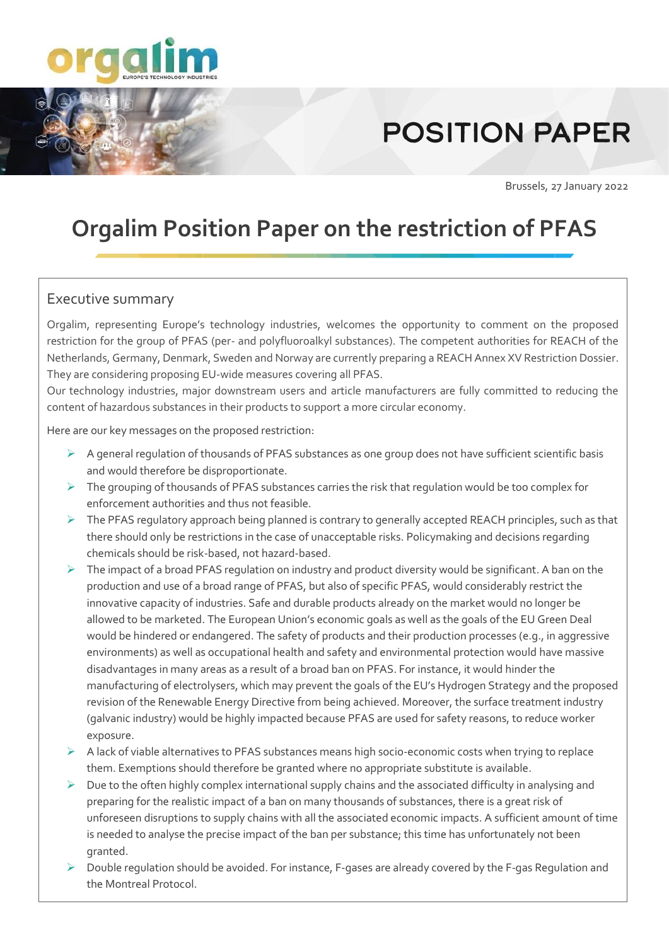

# **POSITION PAPER**

Brussels, 27 January 2022

# **Orgalim Position Paper on the restriction of PFAS**

## Executive summary

Orgalim, representing Europe's technology industries, welcomes the opportunity to comment on the proposed restriction for the group of PFAS (per- and polyfluoroalkyl substances). The competent authorities for REACH of the Netherlands, Germany, Denmark, Sweden and Norway are currently preparing a REACH Annex XV Restriction Dossier. They are considering proposing EU-wide measures covering all PFAS.

Our technology industries, major downstream users and article manufacturers are fully committed to reducing the content of hazardous substances in their products to support a more circular economy.

Here are our key messages on the proposed restriction:

- ➢ A general regulation of thousands of PFAS substances as one group does not have sufficient scientific basis and would therefore be disproportionate.
- $\triangleright$  The grouping of thousands of PFAS substances carries the risk that regulation would be too complex for enforcement authorities and thus not feasible.
- ➢ The PFAS regulatory approach being planned is contrary to generally accepted REACH principles, such as that there should only be restrictions in the case of unacceptable risks. Policymaking and decisions regarding chemicals should be risk-based, not hazard-based.
- ➢ The impact of a broad PFAS regulation on industry and product diversity would be significant. A ban on the production and use of a broad range of PFAS, but also of specific PFAS, would considerably restrict the innovative capacity of industries. Safe and durable products already on the market would no longer be allowed to be marketed. The European Union's economic goals as well as the goals of the EU Green Deal would be hindered or endangered. The safety of products and their production processes (e.g., in aggressive environments) as well as occupational health and safety and environmental protection would have massive disadvantages in many areas as a result of a broad ban on PFAS. For instance, it would hinder the manufacturing of electrolysers, which may prevent the goals of the EU's Hydrogen Strategy and the proposed revision of the Renewable Energy Directive from being achieved. Moreover, the surface treatment industry (galvanic industry) would be highly impacted because PFAS are used for safety reasons, to reduce worker exposure.
- $\triangleright$  A lack of viable alternatives to PFAS substances means high socio-economic costs when trying to replace them. Exemptions should therefore be granted where no appropriate substitute is available.
- $\triangleright$  Due to the often highly complex international supply chains and the associated difficulty in analysing and preparing for the realistic impact of a ban on many thousands of substances, there is a great risk of unforeseen disruptions to supply chains with all the associated economic impacts. A sufficient amount of time is needed to analyse the precise impact of the ban per substance; this time has unfortunately not been granted.
- ➢ Double regulation should be avoided. For instance, F-gases are already covered by the F-gas Regulation and the Montreal Protocol.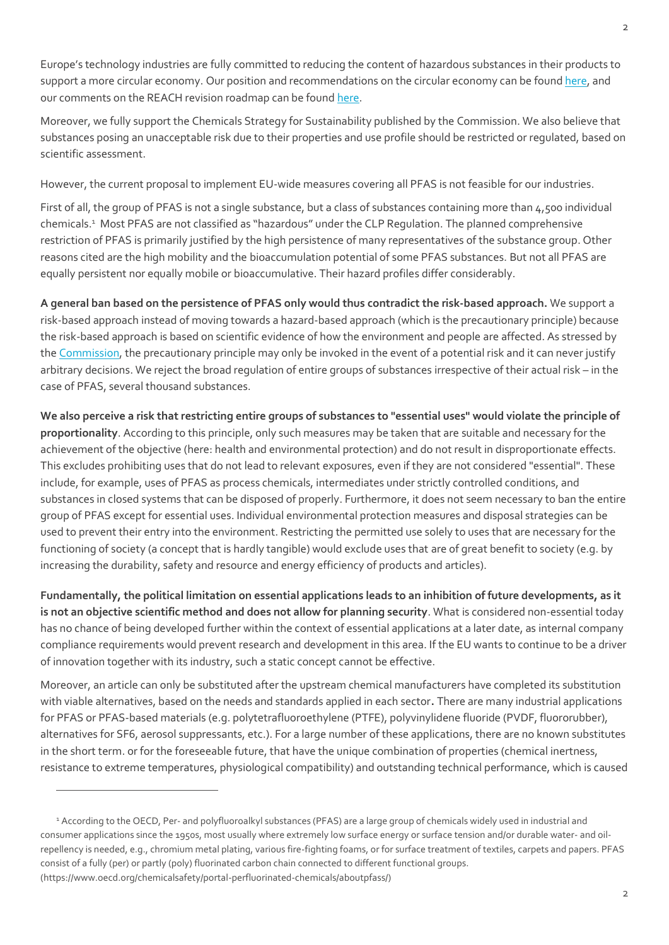Europe's technology industries are fully committed to reducing the content of hazardous substances in their products to support a more circular economy. Our position and recommendations on the circular economy can be foun[d here,](https://orgalim.eu/position-papers/environment-orgalim-position-paper-new-circular-economy-action-plan#:~:text=The%20new%20Circular%20Economy%20Action%20Plan%2C%20which%20is,all%20%28see%20Orgalim%20Green%20Deal%20position%20here%20%29.) and our comments on the REACH revision roadmap can be found [here.](https://orgalim.eu/position-papers/environment-orgalim-comments-reach-revision-roadmap)

Moreover, we fully support the Chemicals Strategy for Sustainability published by the Commission. We also believe that substances posing an unacceptable risk due to their properties and use profile should be restricted or regulated, based on scientific assessment.

However, the current proposal to implement EU-wide measures covering all PFAS is not feasible for our industries.

First of all, the group of PFAS is not a single substance, but a class of substances containing more than 4,500 individual chemicals.<sup>1</sup> Most PFAS are not classified as "hazardous" under the CLP Regulation. The planned comprehensive restriction of PFAS is primarily justified by the high persistence of many representatives of the substance group. Other reasons cited are the high mobility and the bioaccumulation potential of some PFAS substances. But not all PFAS are equally persistent nor equally mobile or bioaccumulative. Their hazard profiles differ considerably.

**A general ban based on the persistence of PFAS only would thus contradict the risk-based approach.** We support a risk-based approach instead of moving towards a hazard-based approach (which is the precautionary principle) because the risk-based approach is based on scientific evidence of how the environment and people are affected. As stressed by th[e Commission,](https://eur-lex.europa.eu/legal-content/EN/TXT/?uri=LEGISSUM%3Al32042) the precautionary principle may only be invoked in the event of a potential risk and it can never justify arbitrary decisions. We reject the broad regulation of entire groups of substances irrespective of their actual risk – in the case of PFAS, several thousand substances.

**We also perceive a risk that restricting entire groups of substances to "essential uses" would violate the principle of proportionality**. According to this principle, only such measures may be taken that are suitable and necessary for the achievement of the objective (here: health and environmental protection) and do not result in disproportionate effects. This excludes prohibiting uses that do not lead to relevant exposures, even if they are not considered "essential". These include, for example, uses of PFAS as process chemicals, intermediates under strictly controlled conditions, and substances in closed systems that can be disposed of properly. Furthermore, it does not seem necessary to ban the entire group of PFAS except for essential uses. Individual environmental protection measures and disposal strategies can be used to prevent their entry into the environment. Restricting the permitted use solely to uses that are necessary for the functioning of society (a concept that is hardly tangible) would exclude uses that are of great benefit to society (e.g. by increasing the durability, safety and resource and energy efficiency of products and articles).

**Fundamentally, the political limitation on essential applications leads to an inhibition of future developments, as it is not an objective scientific method and does not allow for planning security**. What is considered non-essential today has no chance of being developed further within the context of essential applications at a later date, as internal company compliance requirements would prevent research and development in this area. If the EU wants to continue to be a driver of innovation together with its industry, such a static concept cannot be effective.

Moreover, an article can only be substituted after the upstream chemical manufacturers have completed its substitution with viable alternatives, based on the needs and standards applied in each sector**.** There are many industrial applications for PFAS or PFAS-based materials (e.g. polytetrafluoroethylene (PTFE), polyvinylidene fluoride (PVDF, fluororubber), alternatives for SF6, aerosol suppressants, etc.). For a large number of these applications, there are no known substitutes in the short term. or for the foreseeable future, that have the unique combination of properties (chemical inertness, resistance to extreme temperatures, physiological compatibility) and outstanding technical performance, which is caused

<sup>1</sup> According to the OECD, Per- and polyfluoroalkyl substances (PFAS) are a large group of chemicals widely used in industrial and consumer applications since the 1950s, most usually where extremely low surface energy or surface tension and/or durable water- and oilrepellency is needed, e.g., chromium metal plating, various fire-fighting foams, or for surface treatment of textiles, carpets and papers. PFAS consist of a fully (per) or partly (poly) fluorinated carbon chain connected to different functional groups. (https://www.oecd.org/chemicalsafety/portal-perfluorinated-chemicals/aboutpfass/)